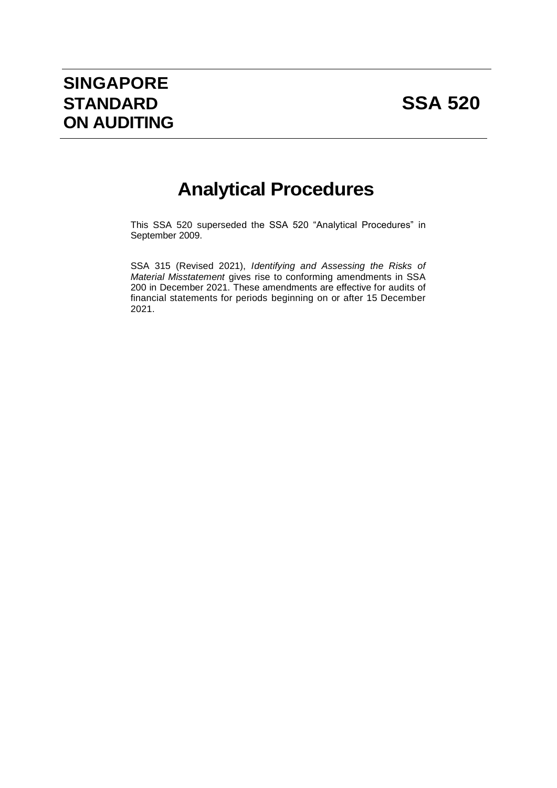# **Analytical Procedures**

This SSA 520 superseded the SSA 520 "Analytical Procedures" in September 2009.

SSA 315 (Revised 2021), *Identifying and Assessing the Risks of Material Misstatement* gives rise to conforming amendments in SSA 200 in December 2021. These amendments are effective for audits of financial statements for periods beginning on or after 15 December 2021.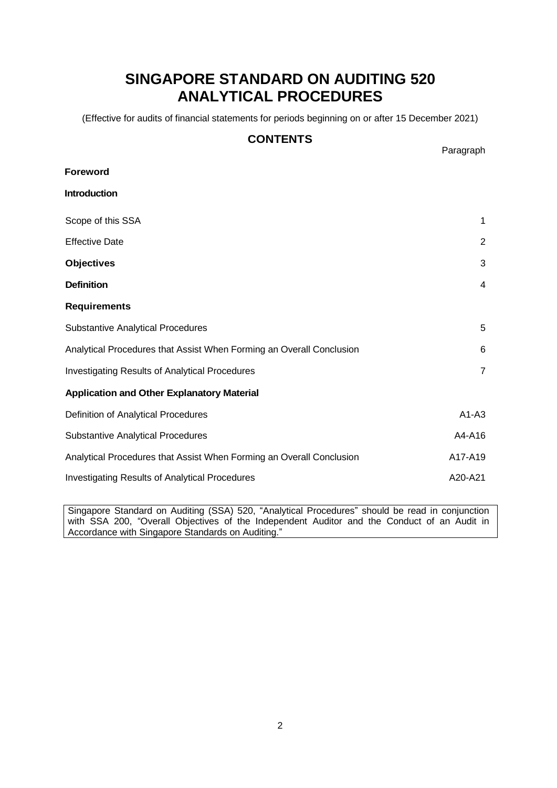# **SINGAPORE STANDARD ON AUDITING 520 ANALYTICAL PROCEDURES**

(Effective for audits of financial statements for periods beginning on or after 15 December 2021)

#### **CONTENTS**

Paragraph

| <b>Foreword</b>                                                      |                 |
|----------------------------------------------------------------------|-----------------|
| Introduction                                                         |                 |
| Scope of this SSA                                                    | 1               |
| <b>Effective Date</b>                                                | $\overline{2}$  |
| <b>Objectives</b>                                                    | 3               |
| <b>Definition</b>                                                    | 4               |
| <b>Requirements</b>                                                  |                 |
| <b>Substantive Analytical Procedures</b>                             | 5               |
| Analytical Procedures that Assist When Forming an Overall Conclusion | $6\phantom{1}6$ |
| <b>Investigating Results of Analytical Procedures</b>                | $\overline{7}$  |
| <b>Application and Other Explanatory Material</b>                    |                 |
| Definition of Analytical Procedures                                  | $A1-A3$         |
| <b>Substantive Analytical Procedures</b>                             | A4-A16          |
| Analytical Procedures that Assist When Forming an Overall Conclusion | A17-A19         |
| <b>Investigating Results of Analytical Procedures</b>                | A20-A21         |

Singapore Standard on Auditing (SSA) 520, "Analytical Procedures" should be read in conjunction with SSA 200, "Overall Objectives of the Independent Auditor and the Conduct of an Audit in Accordance with Singapore Standards on Auditing."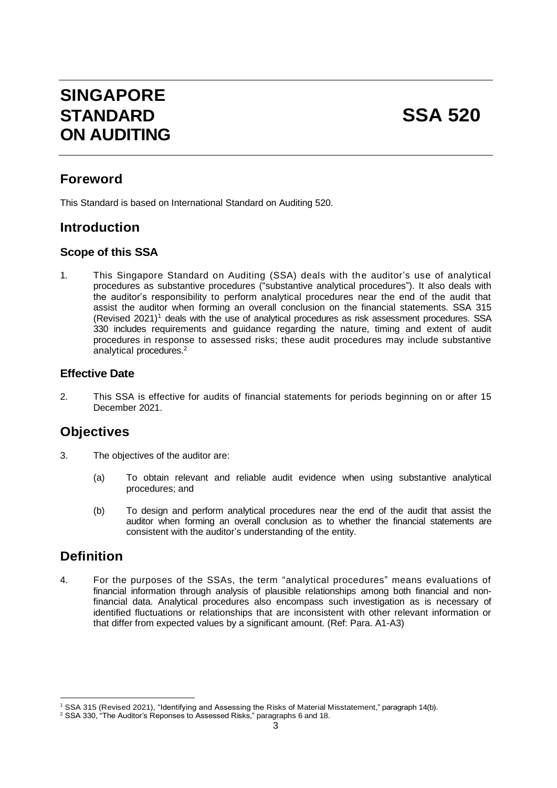# **SINGAPORE STANDARD SSA 520 ON AUDITING**

## **Foreword**

This Standard is based on International Standard on Auditing 520.

### **Introduction**

### **Scope of this SSA**

1. This Singapore Standard on Auditing (SSA) deals with the auditor's use of analytical procedures as substantive procedures ("substantive analytical procedures"). It also deals with the auditor's responsibility to perform analytical procedures near the end of the audit that assist the auditor when forming an overall conclusion on the financial statements. SSA 315 (Revised 2021)<sup>1</sup> deals with the use of analytical procedures as risk assessment procedures. SSA 330 includes requirements and guidance regarding the nature, timing and extent of audit procedures in response to assessed risks; these audit procedures may include substantive analytical procedures.<sup>2</sup>

#### **Effective Date**

2. This SSA is effective for audits of financial statements for periods beginning on or after 15 December 2021.

### **Objectives**

- 3. The objectives of the auditor are:
	- (a) To obtain relevant and reliable audit evidence when using substantive analytical procedures; and
	- (b) To design and perform analytical procedures near the end of the audit that assist the auditor when forming an overall conclusion as to whether the financial statements are consistent with the auditor's understanding of the entity.

# **Definition**

4. For the purposes of the SSAs, the term "analytical procedures" means evaluations of financial information through analysis of plausible relationships among both financial and nonfinancial data. Analytical procedures also encompass such investigation as is necessary of identified fluctuations or relationships that are inconsistent with other relevant information or that differ from expected values by a significant amount. (Ref: Para. A1-A3)

<sup>1</sup> SSA 315 (Revised 2021), "Identifying and Assessing the Risks of Material Misstatement," paragraph 14(b).

 $2$  SSA 330, "The Auditor's Reponses to Assessed Risks," paragraphs 6 and 18.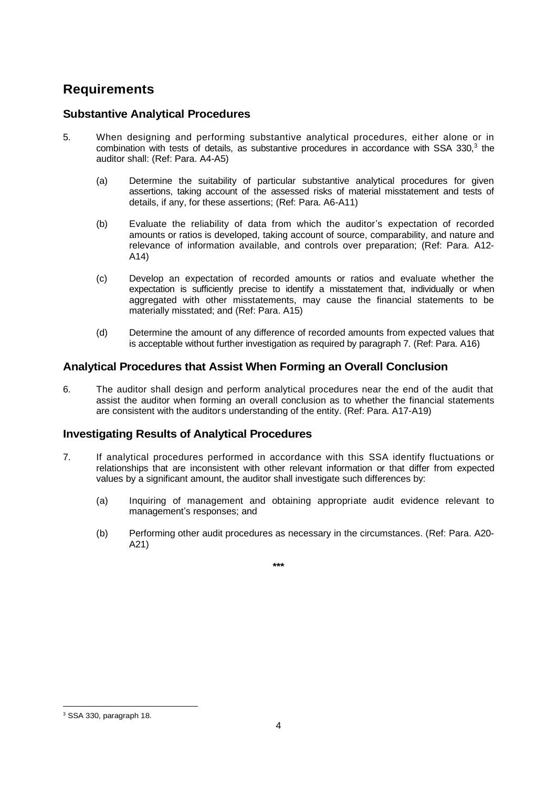# **Requirements**

#### **Substantive Analytical Procedures**

- 5. When designing and performing substantive analytical procedures, either alone or in combination with tests of details, as substantive procedures in accordance with SSA 330, $3$  the auditor shall: (Ref: Para. A4-A5)
	- (a) Determine the suitability of particular substantive analytical procedures for given assertions, taking account of the assessed risks of material misstatement and tests of details, if any, for these assertions; (Ref: Para. A6-A11)
	- (b) Evaluate the reliability of data from which the auditor's expectation of recorded amounts or ratios is developed, taking account of source, comparability, and nature and relevance of information available, and controls over preparation; (Ref: Para. A12- A14)
	- (c) Develop an expectation of recorded amounts or ratios and evaluate whether the expectation is sufficiently precise to identify a misstatement that, individually or when aggregated with other misstatements, may cause the financial statements to be materially misstated; and (Ref: Para. A15)
	- (d) Determine the amount of any difference of recorded amounts from expected values that is acceptable without further investigation as required by paragraph 7. (Ref: Para. A16)

#### **Analytical Procedures that Assist When Forming an Overall Conclusion**

6. The auditor shall design and perform analytical procedures near the end of the audit that assist the auditor when forming an overall conclusion as to whether the financial statements are consistent with the auditors understanding of the entity. (Ref: Para. A17-A19)

#### **Investigating Results of Analytical Procedures**

- 7. If analytical procedures performed in accordance with this SSA identify fluctuations or relationships that are inconsistent with other relevant information or that differ from expected values by a significant amount, the auditor shall investigate such differences by:
	- (a) Inquiring of management and obtaining appropriate audit evidence relevant to management's responses; and
	- (b) Performing other audit procedures as necessary in the circumstances. (Ref: Para. A20- A21)

**<sup>\*\*\*</sup>**

<sup>3</sup> SSA 330, paragraph 18.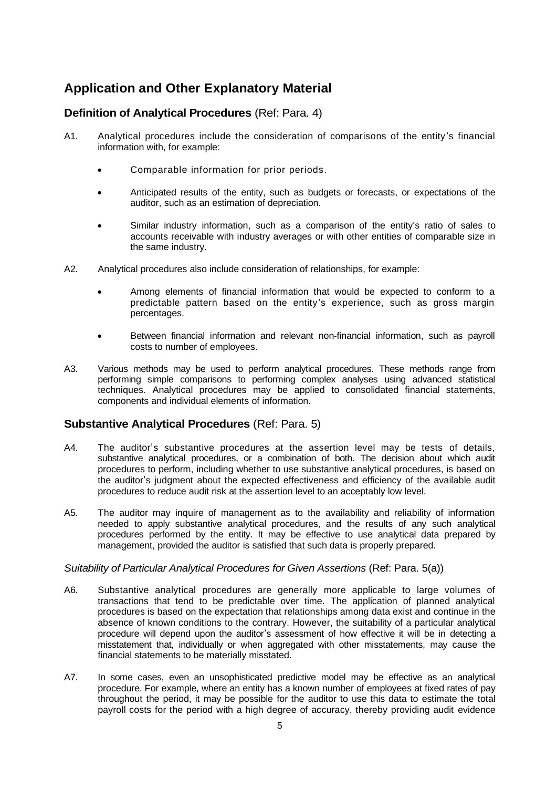# **Application and Other Explanatory Material**

#### **Definition of Analytical Procedures** (Ref: Para. 4)

- A1. Analytical procedures include the consideration of comparisons of the entity's financial information with, for example:
	- Comparable information for prior periods.
	- Anticipated results of the entity, such as budgets or forecasts, or expectations of the auditor, such as an estimation of depreciation.
	- Similar industry information, such as a comparison of the entity's ratio of sales to accounts receivable with industry averages or with other entities of comparable size in the same industry.
- A2. Analytical procedures also include consideration of relationships, for example:
	- Among elements of financial information that would be expected to conform to a predictable pattern based on the entity's experience, such as gross margin percentages.
	- Between financial information and relevant non-financial information, such as payroll costs to number of employees.
- A3. Various methods may be used to perform analytical procedures. These methods range from performing simple comparisons to performing complex analyses using advanced statistical techniques. Analytical procedures may be applied to consolidated financial statements, components and individual elements of information.

#### **Substantive Analytical Procedures** (Ref: Para. 5)

- A4. The auditor's substantive procedures at the assertion level may be tests of details, substantive analytical procedures, or a combination of both. The decision about which audit procedures to perform, including whether to use substantive analytical procedures, is based on the auditor's judgment about the expected effectiveness and efficiency of the available audit procedures to reduce audit risk at the assertion level to an acceptably low level.
- A5. The auditor may inquire of management as to the availability and reliability of information needed to apply substantive analytical procedures, and the results of any such analytical procedures performed by the entity. It may be effective to use analytical data prepared by management, provided the auditor is satisfied that such data is properly prepared.

#### *Suitability of Particular Analytical Procedures for Given Assertions* (Ref: Para. 5(a))

- A6. Substantive analytical procedures are generally more applicable to large volumes of transactions that tend to be predictable over time. The application of planned analytical procedures is based on the expectation that relationships among data exist and continue in the absence of known conditions to the contrary. However, the suitability of a particular analytical procedure will depend upon the auditor's assessment of how effective it will be in detecting a misstatement that, individually or when aggregated with other misstatements, may cause the financial statements to be materially misstated.
- A7. In some cases, even an unsophisticated predictive model may be effective as an analytical procedure. For example, where an entity has a known number of employees at fixed rates of pay throughout the period, it may be possible for the auditor to use this data to estimate the total payroll costs for the period with a high degree of accuracy, thereby providing audit evidence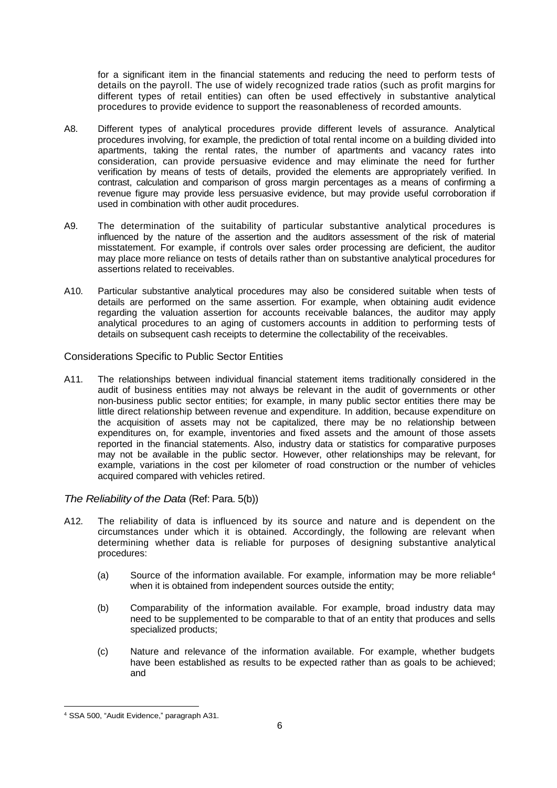for a significant item in the financial statements and reducing the need to perform tests of details on the payroll. The use of widely recognized trade ratios (such as profit margins for different types of retail entities) can often be used effectively in substantive analytical procedures to provide evidence to support the reasonableness of recorded amounts.

- A8. Different types of analytical procedures provide different levels of assurance. Analytical procedures involving, for example, the prediction of total rental income on a building divided into apartments, taking the rental rates, the number of apartments and vacancy rates into consideration, can provide persuasive evidence and may eliminate the need for further verification by means of tests of details, provided the elements are appropriately verified. In contrast, calculation and comparison of gross margin percentages as a means of confirming a revenue figure may provide less persuasive evidence, but may provide useful corroboration if used in combination with other audit procedures.
- A9. The determination of the suitability of particular substantive analytical procedures is influenced by the nature of the assertion and the auditors assessment of the risk of material misstatement. For example, if controls over sales order processing are deficient, the auditor may place more reliance on tests of details rather than on substantive analytical procedures for assertions related to receivables.
- A10. Particular substantive analytical procedures may also be considered suitable when tests of details are performed on the same assertion. For example, when obtaining audit evidence regarding the valuation assertion for accounts receivable balances, the auditor may apply analytical procedures to an aging of customers' accounts in addition to performing tests of details on subsequent cash receipts to determine the collectability of the receivables.

Considerations Specific to Public Sector Entities

A11. The relationships between individual financial statement items traditionally considered in the audit of business entities may not always be relevant in the audit of governments or other non-business public sector entities; for example, in many public sector entities there may be little direct relationship between revenue and expenditure. In addition, because expenditure on the acquisition of assets may not be capitalized, there may be no relationship between expenditures on, for example, inventories and fixed assets and the amount of those assets reported in the financial statements. Also, industry data or statistics for comparative purposes may not be available in the public sector. However, other relationships may be relevant, for example, variations in the cost per kilometer of road construction or the number of vehicles acquired compared with vehicles retired.

#### *The Reliability of the Data* (Ref: Para. 5(b))

- A12. The reliability of data is influenced by its source and nature and is dependent on the circumstances under which it is obtained. Accordingly, the following are relevant when determining whether data is reliable for purposes of designing substantive analytical procedures:
	- (a) Source of the information available. For example, information may be more reliable<sup>4</sup> when it is obtained from independent sources outside the entity;
	- (b) Comparability of the information available. For example, broad industry data may need to be supplemented to be comparable to that of an entity that produces and sells specialized products;
	- (c) Nature and relevance of the information available. For example, whether budgets have been established as results to be expected rather than as goals to be achieved; and

<sup>4</sup> SSA 500, "Audit Evidence," paragraph A31.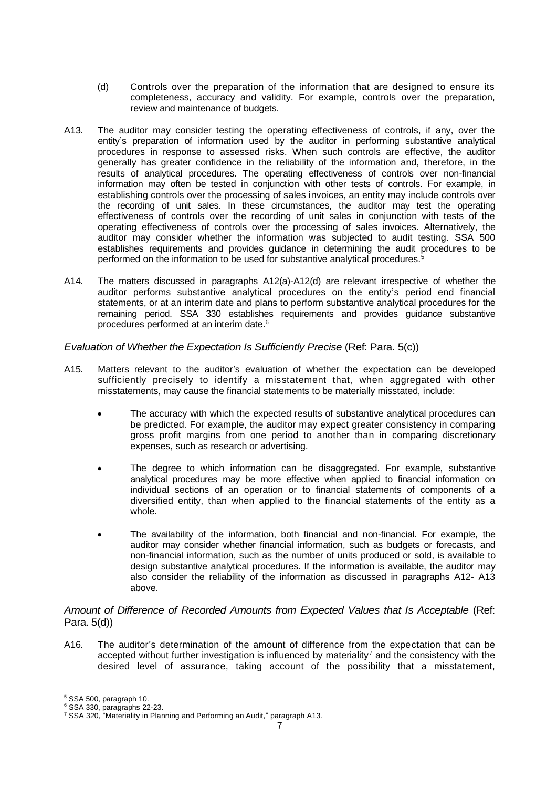- (d) Controls over the preparation of the information that are designed to ensure its completeness, accuracy and validity. For example, controls over the preparation, review and maintenance of budgets.
- A13. The auditor may consider testing the operating effectiveness of controls, if any, over the entity's preparation of information used by the auditor in performing substantive analytical procedures in response to assessed risks. When such controls are effective, the auditor generally has greater confidence in the reliability of the information and, therefore, in the results of analytical procedures. The operating effectiveness of controls over non-financial information may often be tested in conjunction with other tests of controls. For example, in establishing controls over the processing of sales invoices, an entity may include controls over the recording of unit sales. In these circumstances, the auditor may test the operating effectiveness of controls over the recording of unit sales in conjunction with tests of the operating effectiveness of controls over the processing of sales invoices. Alternatively, the auditor may consider whether the information was subjected to audit testing. SSA 500 establishes requirements and provides guidance in determining the audit procedures to be performed on the information to be used for substantive analytical procedures.<sup>5</sup>
- A14. The matters discussed in paragraphs A12(a)-A12(d) are relevant irrespective of whether the auditor performs substantive analytical procedures on the entity's period end financial statements, or at an interim date and plans to perform substantive analytical procedures for the remaining period. SSA 330 establishes requirements and provides guidance substantive procedures performed at an interim date.<sup>6</sup>

*Evaluation of Whether the Expectation Is Sufficiently Precise (Ref: Para. 5(c))* 

- A15. Matters relevant to the auditor's evaluation of whether the expectation can be developed sufficiently precisely to identify a misstatement that, when aggregated with other misstatements, may cause the financial statements to be materially misstated, include:
	- The accuracy with which the expected results of substantive analytical procedures can be predicted. For example, the auditor may expect greater consistency in comparing gross profit margins from one period to another than in comparing discretionary expenses, such as research or advertising.
	- The degree to which information can be disaggregated. For example, substantive analytical procedures may be more effective when applied to financial information on individual sections of an operation or to financial statements of components of a diversified entity, than when applied to the financial statements of the entity as a whole.
	- The availability of the information, both financial and non-financial. For example, the auditor may consider whether financial information, such as budgets or forecasts, and non-financial information, such as the number of units produced or sold, is available to design substantive analytical procedures. If the information is available, the auditor may also consider the reliability of the information as discussed in paragraphs A12- A13 above.

#### *Amount of Difference of Recorded Amounts from Expected Values that Is Acceptable* (Ref: Para. 5(d))

A16. The auditor's determination of the amount of difference from the expectation that can be accepted without further investigation is influenced by materiality<sup>7</sup> and the consistency with the desired level of assurance, taking account of the possibility that a misstatement,

<sup>5</sup> SSA 500, paragraph 10.

<sup>6</sup> SSA 330, paragraphs 22-23.

<sup>7</sup> SSA 320, "Materiality in Planning and Performing an Audit," paragraph A13.